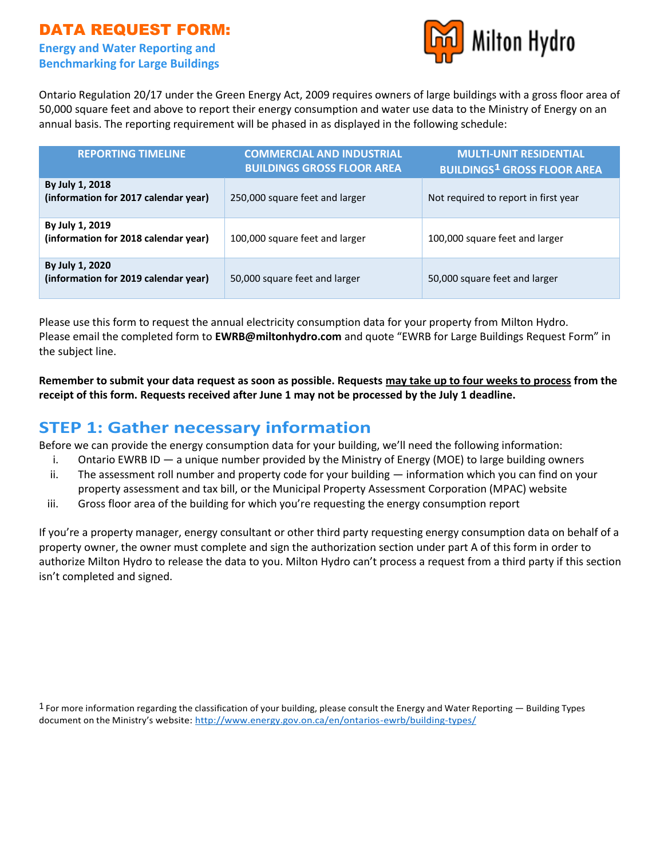## DATA REQUEST FORM:

### **Energy and Water Reporting and Benchmarking for Large Buildings**



Ontario Regulation 20/17 under the Green Energy Act, 2009 requires owners of large buildings with a gross floor area of 50,000 square feet and above to report their energy consumption and water use data to the Ministry of Energy on an annual basis. The reporting requirement will be phased in as displayed in the following schedule:

| <b>REPORTING TIMELINE</b>                               | <b>COMMERCIAL AND INDUSTRIAL</b><br><b>BUILDINGS GROSS FLOOR AREA</b> | <b>MULTI-UNIT RESIDENTIAL</b><br><b>BUILDINGS<sup>1</sup> GROSS FLOOR AREA</b> |
|---------------------------------------------------------|-----------------------------------------------------------------------|--------------------------------------------------------------------------------|
| By July 1, 2018<br>(information for 2017 calendar year) | 250,000 square feet and larger                                        | Not required to report in first year                                           |
| By July 1, 2019<br>(information for 2018 calendar year) | 100,000 square feet and larger                                        | 100,000 square feet and larger                                                 |
| By July 1, 2020<br>(information for 2019 calendar year) | 50,000 square feet and larger                                         | 50,000 square feet and larger                                                  |

Please use this form to request the annual electricity consumption data for your property from Milton Hydro. Please email the completed form to **EWRB@miltonhydro.com** and quote "EWRB for Large Buildings Request Form" in the subject line.

**Remember to submit your data request as soon as possible. Requests may take up to four weeks to process from the receipt of this form. Requests received after June 1 may not be processed by the July 1 deadline.**

## **STEP 1: Gather necessary information**

Before we can provide the energy consumption data for your building, we'll need the following information:

- i. Ontario EWRB ID a unique number provided by the Ministry of Energy (MOE) to large building owners
- ii. The assessment roll number and property code for your building information which you can find on your property assessment and tax bill, or the Municipal Property Assessment Corporation (MPAC) website
- iii. Gross floor area of the building for which you're requesting the energy consumption report

If you're a property manager, energy consultant or other third party requesting energy consumption data on behalf of a property owner, the owner must complete and sign the authorization section under part A of this form in order to authorize Milton Hydro to release the data to you. Milton Hydro can't process a request from a third party if this section isn't completed and signed.

 $1$  For more information regarding the classification of your building, please consult the Energy and Water Reporting  $-$  Building Types document on the Ministry's website:<http://www.energy.gov.on.ca/en/ontarios-ewrb/building-types/>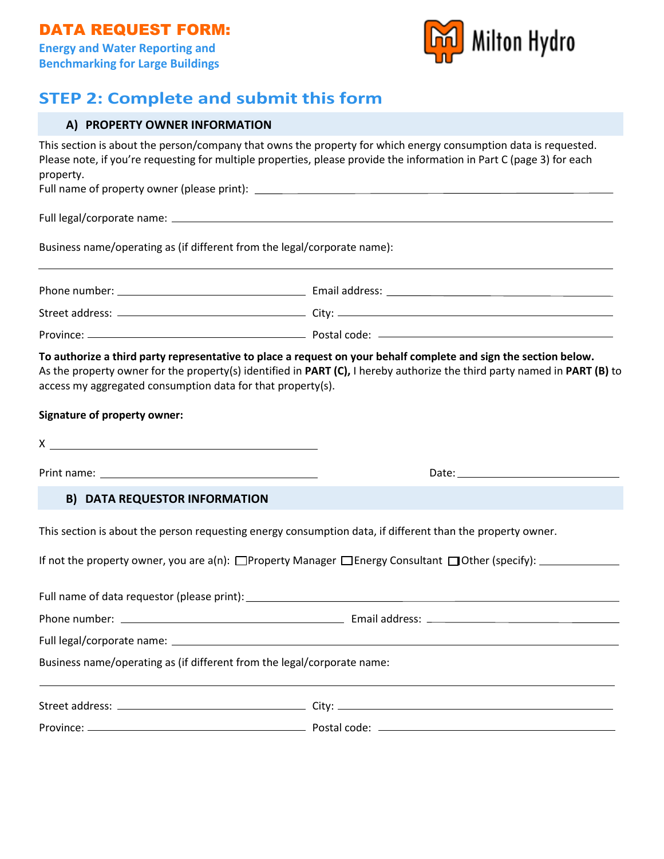

# **STEP 2: Complete and submit this form**

|  |  |  | A) PROPERTY OWNER INFORMATION |
|--|--|--|-------------------------------|
|--|--|--|-------------------------------|

| property.                                                                                                                 | This section is about the person/company that owns the property for which energy consumption data is requested.<br>Please note, if you're requesting for multiple properties, please provide the information in Part C (page 3) for each |  |  |  |  |
|---------------------------------------------------------------------------------------------------------------------------|------------------------------------------------------------------------------------------------------------------------------------------------------------------------------------------------------------------------------------------|--|--|--|--|
|                                                                                                                           |                                                                                                                                                                                                                                          |  |  |  |  |
|                                                                                                                           |                                                                                                                                                                                                                                          |  |  |  |  |
| Business name/operating as (if different from the legal/corporate name):                                                  |                                                                                                                                                                                                                                          |  |  |  |  |
|                                                                                                                           |                                                                                                                                                                                                                                          |  |  |  |  |
|                                                                                                                           |                                                                                                                                                                                                                                          |  |  |  |  |
|                                                                                                                           |                                                                                                                                                                                                                                          |  |  |  |  |
| access my aggregated consumption data for that property(s).<br><b>Signature of property owner:</b><br>$X \xrightarrow{ }$ |                                                                                                                                                                                                                                          |  |  |  |  |
|                                                                                                                           |                                                                                                                                                                                                                                          |  |  |  |  |
| <b>B) DATA REQUESTOR INFORMATION</b>                                                                                      |                                                                                                                                                                                                                                          |  |  |  |  |
|                                                                                                                           | This section is about the person requesting energy consumption data, if different than the property owner.                                                                                                                               |  |  |  |  |
|                                                                                                                           | If not the property owner, you are $a(n)$ : $\Box$ Property Manager $\Box$ Energy Consultant $\Box$ Other (specify): $\Box$                                                                                                              |  |  |  |  |
|                                                                                                                           |                                                                                                                                                                                                                                          |  |  |  |  |
| Phone number:                                                                                                             | Email address:                                                                                                                                                                                                                           |  |  |  |  |
|                                                                                                                           |                                                                                                                                                                                                                                          |  |  |  |  |
| Business name/operating as (if different from the legal/corporate name:                                                   |                                                                                                                                                                                                                                          |  |  |  |  |
|                                                                                                                           |                                                                                                                                                                                                                                          |  |  |  |  |
|                                                                                                                           |                                                                                                                                                                                                                                          |  |  |  |  |